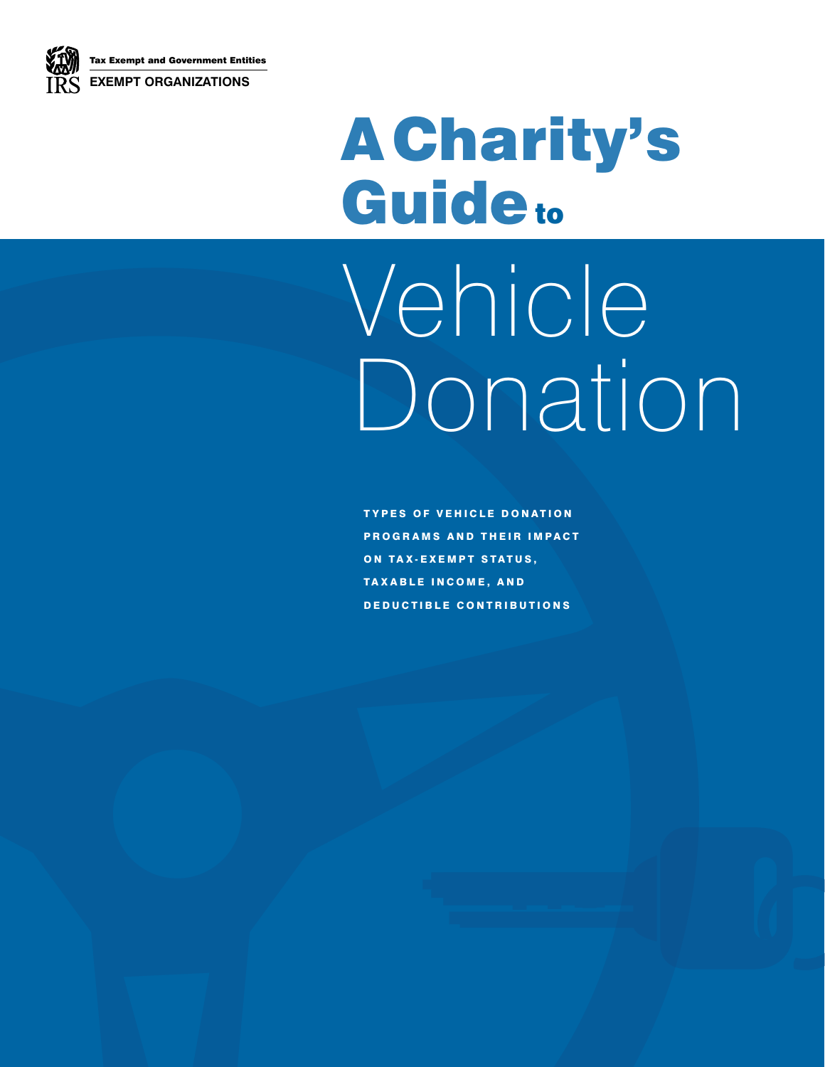

# A Charity's Guideto

# Vehicle Donation,

TYPES OF VEHICLE DONATION PROGRAMS AND THEIR IMPACT ON TAX-EXEMPT STATUS. TAXABLE INCOME, AND DEDUCTIBLE CONTRIBUTIONS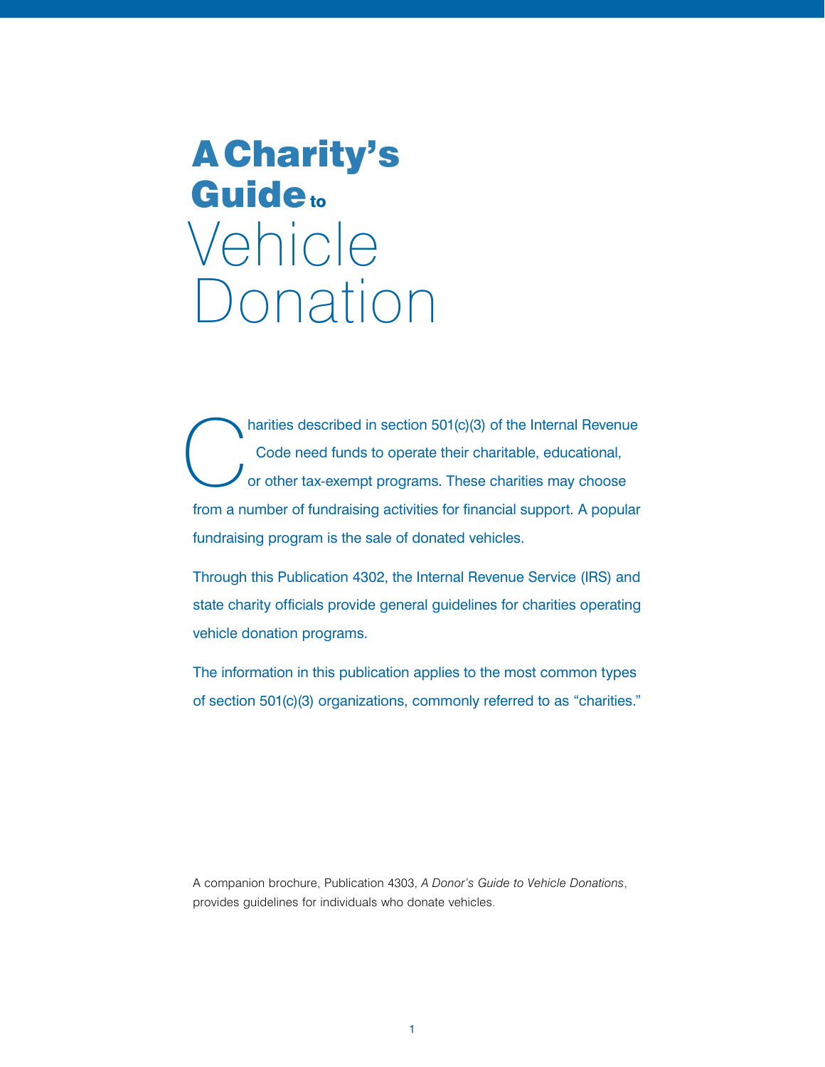# A Charity's Guide<sub>to</sub> Vehicle Donation

 C harities described in section 501(c)(3) of the Internal Revenue Code need funds to operate their charitable, educational, or other tax-exempt programs. These charities may choose from a number of fundraising activities for financial support. A popular fundraising program is the sale of donated vehicles.

Through this Publication 4302, the Internal Revenue Service (IRS) and state charity officials provide general guidelines for charities operating vehicle donation programs.

The information in this publication applies to the most common types of section 501(c)(3) organizations, commonly referred to as "charities."

A companion brochure, Publication 4303, *[A Donor's Guide to Vehicle Donations](http://www.irs.gov/pub/irs-pdf/p4303.pdf)*, provides guidelines for individuals who donate vehicles.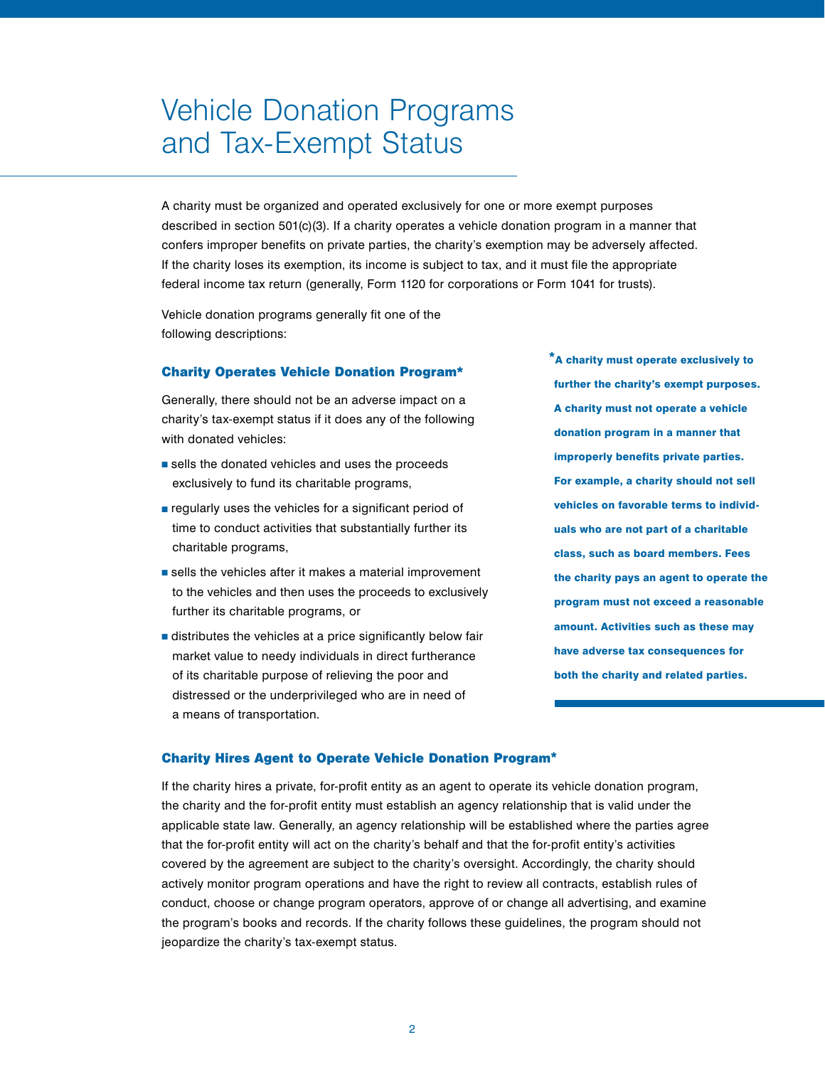# Vehicle Donation Programs and Tax-Exempt Status

A charity must be organized and operated exclusively for one or more exempt purposes described in section 501(c)(3). If a charity operates a vehicle donation program in a manner that confers improper benefits on private parties, the charity's exemption may be adversely affected. If the charity loses its exemption, its income is subject to tax, and it must file the appropriate federal income tax return (generally, Form 1120 for corporations or Form 1041 for trusts).

Vehicle donation programs generally fit one of the following descriptions:

#### Charity Operates Vehicle Donation Program\*

Generally, there should not be an adverse impact on a charity's tax-exempt status if it does any of the following with donated vehicles:

- sells the donated vehicles and uses the proceeds exclusively to fund its charitable programs,
- regularly uses the vehicles for a significant period of time to conduct activities that substantially further its charitable programs,
- sells the vehicles after it makes a material improvement to the vehicles and then uses the proceeds to exclusively further its charitable programs, or
- distributes the vehicles at a price significantly below fair market value to needy individuals in direct furtherance of its charitable purpose of relieving the poor and distressed or the underprivileged who are in need of a means of transportation.

 \*A charity must operate exclusively to further the charity's exempt purposes. A charity must not operate a vehicle donation program in a manner that improperly benefits private parties. For example, a charity should not sell vehicles on favorable terms to individuals who are not part of a charitable class, such as board members. Fees the charity pays an agent to operate the program must not exceed a reasonable amount. Activities such as these may have adverse tax consequences for both the charity and related parties.

#### Charity Hires Agent to Operate Vehicle Donation Program\*,

If the charity hires a private, for-profit entity as an agent to operate its vehicle donation program, the charity and the for-profit entity must establish an agency relationship that is valid under the applicable state law. Generally, an agency relationship will be established where the parties agree that the for-profit entity will act on the charity's behalf and that the for-profit entity's activities covered by the agreement are subject to the charity's oversight. Accordingly, the charity should actively monitor program operations and have the right to review all contracts, establish rules of conduct, choose or change program operators, approve of or change all advertising, and examine the program's books and records. If the charity follows these guidelines, the program should not jeopardize the charity's tax-exempt status.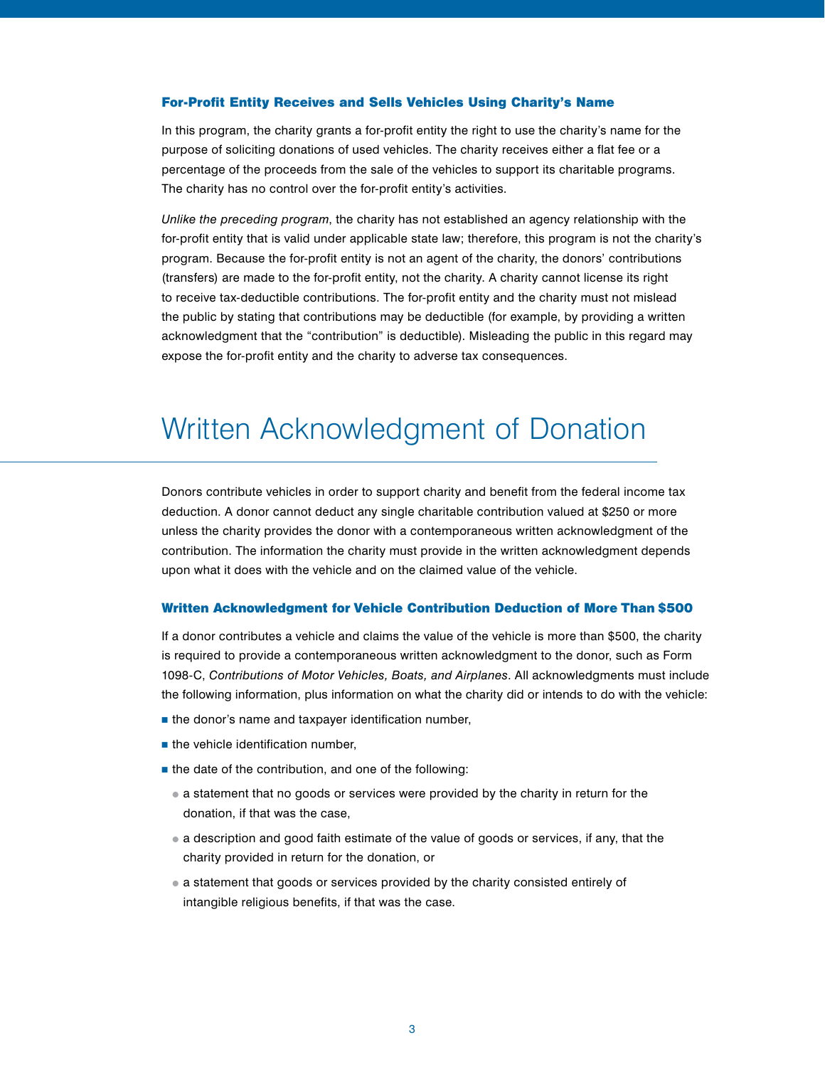#### For-Profit Entity Receives and Sells Vehicles Using Charity's Name,

In this program, the charity grants a for-profit entity the right to use the charity's name for the purpose of soliciting donations of used vehicles. The charity receives either a flat fee or a percentage of the proceeds from the sale of the vehicles to support its charitable programs. The charity has no control over the for-profit entity's activities.

*Unlike the preceding program*, the charity has not established an agency relationship with the for-profit entity that is valid under applicable state law; therefore, this program is not the charity's program. Because the for-profit entity is not an agent of the charity, the donors' contributions (transfers) are made to the for-profit entity, not the charity. A charity cannot license its right to receive tax-deductible contributions. The for-profit entity and the charity must not mislead the public by stating that contributions may be deductible (for example, by providing a written acknowledgment that the "contribution" is deductible). Misleading the public in this regard may expose the for-profit entity and the charity to adverse tax consequences.

# Written Acknowledgment of Donation

Donors contribute vehicles in order to support charity and benefit from the federal income tax deduction. A donor cannot deduct any single charitable contribution valued at \$250 or more unless the charity provides the donor with a contemporaneous written acknowledgment of the contribution. The information the charity must provide in the written acknowledgment depends upon what it does with the vehicle and on the claimed value of the vehicle.

#### Written Acknowledgment for Vehicle Contribution Deduction of More Than \$500,

If a donor contributes a vehicle and claims the value of the vehicle is more than \$500, the charity is required to provide a contemporaneous written acknowledgment to the donor, such as Form 1098-C, *[Contributions of Motor Vehicles, Boats, and Airplanes](http://www.irs.gov/pub/irs-pdf/f1098c.pdf)*. All acknowledgments must include the following information, plus information on what the charity did or intends to do with the vehicle:

- $\blacksquare$  the donor's name and taxpayer identification number,
- $\blacksquare$  the vehicle identification number,
- $\blacksquare$  the date of the contribution, and one of the following:
	- a statement that no goods or services were provided by the charity in return for the donation, if that was the case,
	- a description and good faith estimate of the value of goods or services, if any, that the charity provided in return for the donation, or ,
	- a statement that goods or services provided by the charity consisted entirely of intangible religious benefits, if that was the case.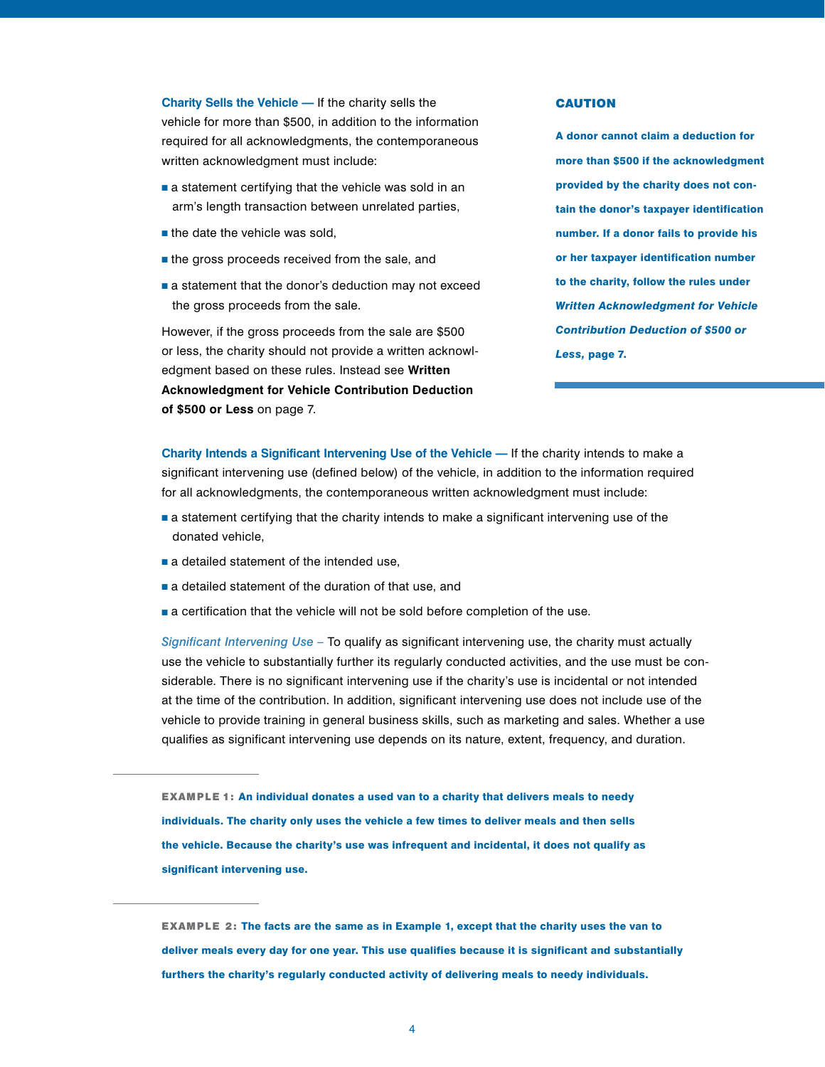**Charity Sells the Vehicle —** If the charity sells the vehicle for more than \$500, in addition to the information required for all acknowledgments, the contemporaneous written acknowledgment must include:

- a statement certifying that the vehicle was sold in an arm's length transaction between unrelated parties,
- $\blacksquare$  the date the vehicle was sold,
- the gross proceeds received from the sale, and
- a statement that the donor's deduction may not exceed the gross proceeds from the sale.

However, if the gross proceeds from the sale are \$500 or less, the charity should not provide a written acknowledgment based on these rules. Instead see **Written Acknowledgment for Vehicle Contribution Deduction of \$500 or Less** on page 7.

#### **CAUTION**

A donor cannot claim a deduction for more than \$500 if the acknowledgment provided by the charity does not contain the donor's taxpayer identification number. If a donor fails to provide his or her taxpayer identification number to the charity, follow the rules under *Written Acknowledgment for Vehicle Contribution Deduction of \$500 or Less,* page 7.

**Charity Intends a Significant Intervening Use of the Vehicle —** If the charity intends to make a significant intervening use (defined below) of the vehicle, in addition to the information required for all acknowledgments, the contemporaneous written acknowledgment must include:

- a statement certifying that the charity intends to make a significant intervening use of the donated vehicle,
- a detailed statement of the intended use,
- a detailed statement of the duration of that use, and
- a certification that the vehicle will not be sold before completion of the use.

*Significant Intervening Use –* To qualify as significant intervening use, the charity must actually use the vehicle to substantially further its regularly conducted activities, and the use must be considerable. There is no significant intervening use if the charity's use is incidental or not intended at the time of the contribution. In addition, significant intervening use does not include use of the vehicle to provide training in general business skills, such as marketing and sales. Whether a use qualifies as significant intervening use depends on its nature, extent, frequency, and duration.

EXAMPLE 1: An individual donates a used van to a charity that delivers meals to needy individuals. The charity only uses the vehicle a few times to deliver meals and then sells the vehicle. Because the charity's use was infrequent and incidental, it does not qualify as significant intervening use.

EXAMPLE 2: The facts are the same as in Example 1, except that the charity uses the van to deliver meals every day for one year. This use qualifies because it is significant and substantially furthers the charity's regularly conducted activity of delivering meals to needy individuals.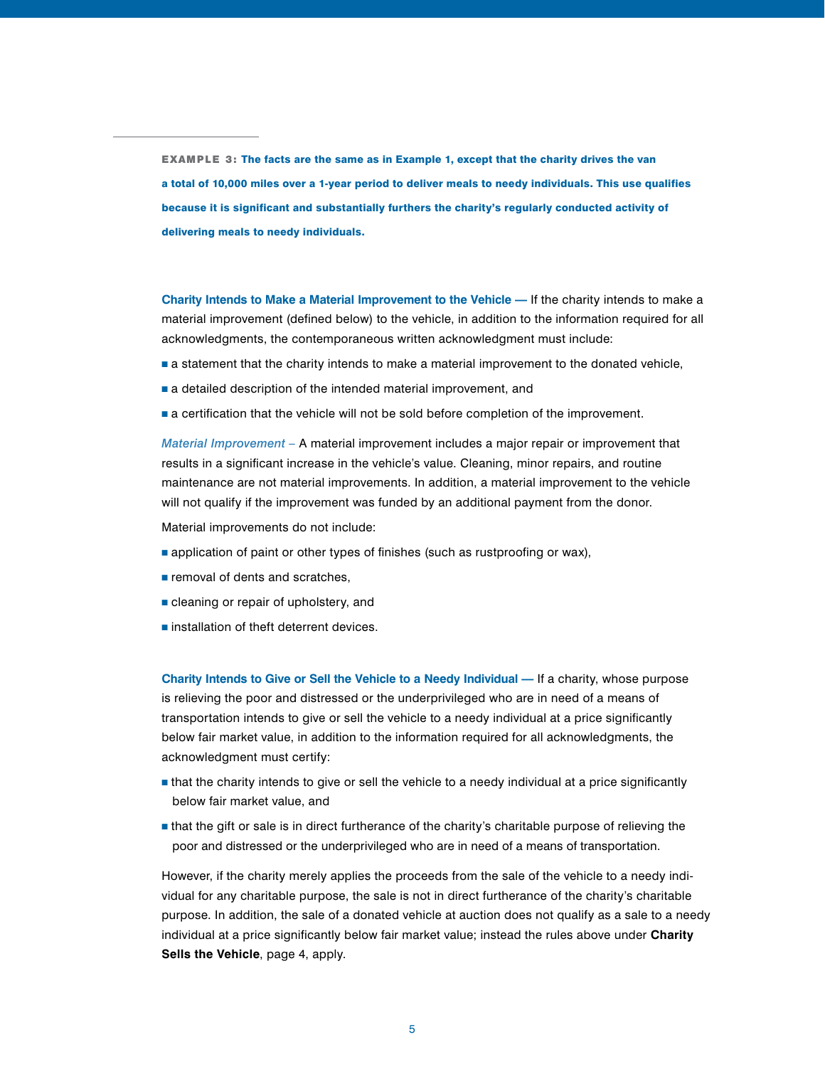EXAMPLE 3: The facts are the same as in Example 1, except that the charity drives the van a total of 10,000 miles over a 1-year period to deliver meals to needy individuals. This use qualifies because it is significant and substantially furthers the charity's regularly conducted activity of delivering meals to needy individuals.

**Charity Intends to Make a Material Improvement to the Vehicle —** If the charity intends to make a material improvement (defined below) to the vehicle, in addition to the information required for all acknowledgments, the contemporaneous written acknowledgment must include:

- a statement that the charity intends to make a material improvement to the donated vehicle,
- a detailed description of the intended material improvement, and
- a certification that the vehicle will not be sold before completion of the improvement.

*Material Improvement –* A material improvement includes a major repair or improvement that results in a significant increase in the vehicle's value. Cleaning, minor repairs, and routine maintenance are not material improvements. In addition, a material improvement to the vehicle will not qualify if the improvement was funded by an additional payment from the donor.

Material improvements do not include:

- application of paint or other types of finishes (such as rustproofing or wax),
- removal of dents and scratches,
- cleaning or repair of upholstery, and
- installation of theft deterrent devices.

**Charity Intends to Give or Sell the Vehicle to a Needy Individual —** If a charity, whose purpose is relieving the poor and distressed or the underprivileged who are in need of a means of transportation intends to give or sell the vehicle to a needy individual at a price significantly below fair market value, in addition to the information required for all acknowledgments, the acknowledgment must certify:

- that the charity intends to give or sell the vehicle to a needy individual at a price significantly below fair market value, and,
- that the gift or sale is in direct furtherance of the charity's charitable purpose of relieving the poor and distressed or the underprivileged who are in need of a means of transportation.

However, if the charity merely applies the proceeds from the sale of the vehicle to a needy individual for any charitable purpose, the sale is not in direct furtherance of the charity's charitable purpose. In addition, the sale of a donated vehicle at auction does not qualify as a sale to a needy individual at a price significantly below fair market value; instead the rules above under **Charity Sells the Vehicle**, page 4, apply.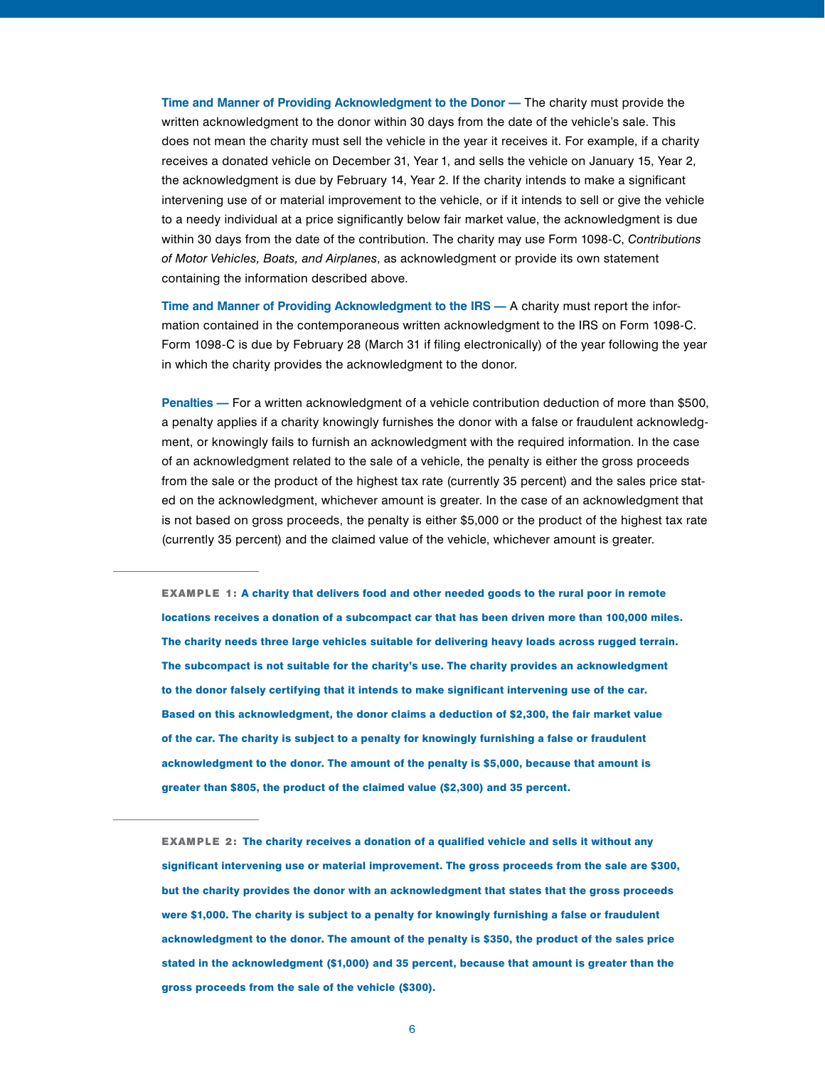**Time and Manner of Providing Acknowledgment to the Donor —** The charity must provide the written acknowledgment to the donor within 30 days from the date of the vehicle's sale. This does not mean the charity must sell the vehicle in the year it receives it. For example, if a charity receives a donated vehicle on December 31, Year 1, and sells the vehicle on January 15, Year 2, the acknowledgment is due by February 14, Year 2. If the charity intends to make a significant intervening use of or material improvement to the vehicle, or if it intends to sell or give the vehicle to a needy individual at a price significantly below fair market value, the acknowledgment is due within 30 days from the date of the contribution. The charity may use [Form 1098-C,](http://www.irs.gov/pub/irs-pdf/f1098c.pdf) *Contributions [of Motor Vehicles, Boats, and Airplanes](http://www.irs.gov/pub/irs-pdf/f1098c.pdf)*, as acknowledgment or provide its own statement containing the information described above.

**Time and Manner of Providing Acknowledgment to the IRS —** A charity must report the information contained in the contemporaneous written acknowledgment to the IRS on Form 1098-C. Form 1098-C is due by February 28 (March 31 if filing electronically) of the year following the year in which the charity provides the acknowledgment to the donor.

**Penalties —** For a written acknowledgment of a vehicle contribution deduction of more than \$500, a penalty applies if a charity knowingly furnishes the donor with a false or fraudulent acknowledgment, or knowingly fails to furnish an acknowledgment with the required information. In the case of an acknowledgment related to the sale of a vehicle, the penalty is either the gross proceeds from the sale or the product of the highest tax rate (currently 35 percent) and the sales price stated on the acknowledgment, whichever amount is greater. In the case of an acknowledgment that is not based on gross proceeds, the penalty is either \$5,000 or the product of the highest tax rate (currently 35 percent) and the claimed value of the vehicle, whichever amount is greater.

EXAMPLE 1: A charity that delivers food and other needed goods to the rural poor in remote locations receives a donation of a subcompact car that has been driven more than 100,000 miles. The charity needs three large vehicles suitable for delivering heavy loads across rugged terrain. The subcompact is not suitable for the charity's use. The charity provides an acknowledgment to the donor falsely certifying that it intends to make significant intervening use of the car. Based on this acknowledgment, the donor claims a deduction of \$2,300, the fair market value of the car. The charity is subject to a penalty for knowingly furnishing a false or fraudulent acknowledgment to the donor. The amount of the penalty is \$5,000, because that amount is greater than \$805, the product of the claimed value (\$2,300) and 35 percent.

EXAMPLE 2: The charity receives a donation of a qualified vehicle and sells it without any significant intervening use or material improvement. The gross proceeds from the sale are \$300, but the charity provides the donor with an acknowledgment that states that the gross proceeds were \$1,000. The charity is subject to a penalty for knowingly furnishing a false or fraudulent acknowledgment to the donor. The amount of the penalty is \$350, the product of the sales price stated in the acknowledgment (\$1,000) and 35 percent, because that amount is greater than the gross proceeds from the sale of the vehicle (\$300).

6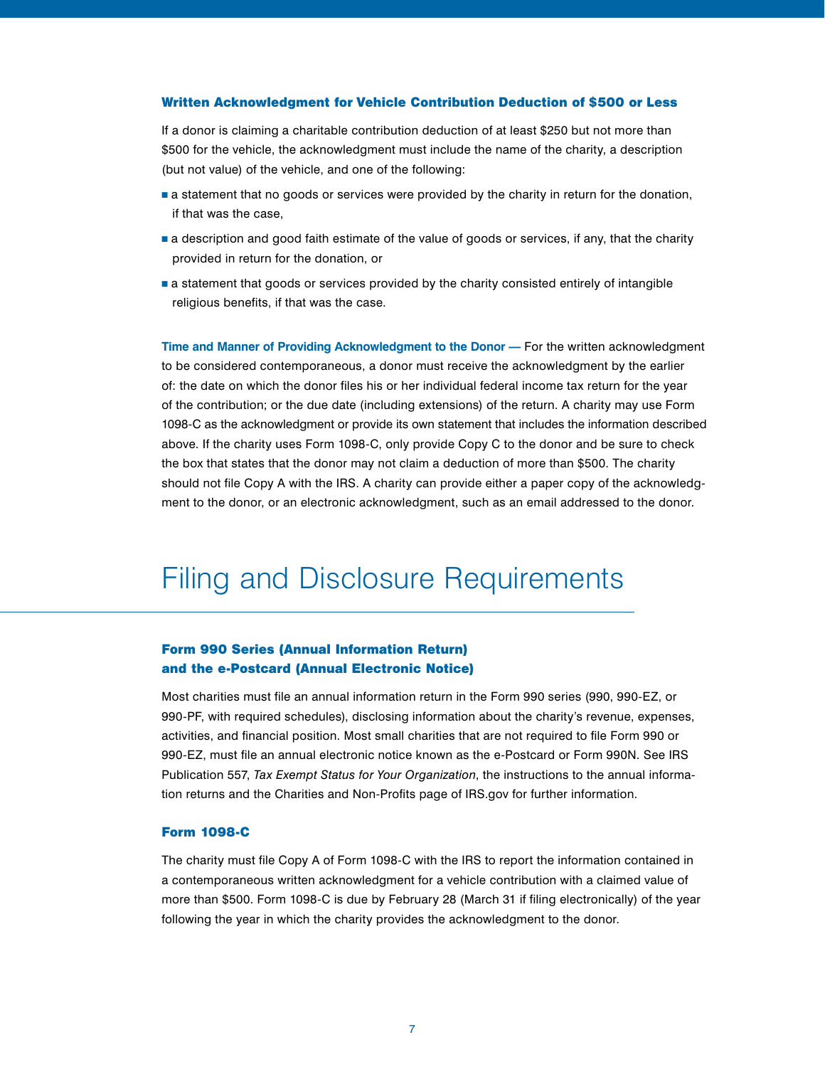#### Written Acknowledgment for Vehicle Contribution Deduction of \$500 or Less

If a donor is claiming a charitable contribution deduction of at least \$250 but not more than \$500 for the vehicle, the acknowledgment must include the name of the charity, a description (but not value) of the vehicle, and one of the following:

- a statement that no goods or services were provided by the charity in return for the donation, if that was the case,
- a description and good faith estimate of the value of goods or services, if any, that the charity provided in return for the donation, or
- a statement that goods or services provided by the charity consisted entirely of intangible religious benefits, if that was the case.

**Time and Manner of Providing Acknowledgment to the Donor —** For the written acknowledgment to be considered contemporaneous, a donor must receive the acknowledgment by the earlier of: the date on which the donor files his or her individual federal income tax return for the year of the contribution; or the due date (including extensions) of the return. A charity may use Form 1098-C as the acknowledgment or provide its own statement that includes the information described above. If the charity uses Form 1098-C, only provide Copy C to the donor and be sure to check the box that states that the donor may not claim a deduction of more than \$500. The charity should not file Copy A with the IRS. A charity can provide either a paper copy of the acknowledgment to the donor, or an electronic acknowledgment, such as an email addressed to the donor.

### Filing and Disclosure Requirements,

#### Form 990 Series (Annual Information Return) and the e-Postcard (Annual Electronic Notice),

Most charities must file an annual information return in the Form 990 series (990, 990-EZ, or 990-PF, with required schedules), disclosing information about the charity's revenue, expenses, activities, and financial position. Most small charities that are not required to file Form 990 or 990-EZ, must file an annual electronic notice known as the e-Postcard or Form 990N. See IRS Publication 557, *[Tax Exempt Status for Your Organization](http://www.irs.gov/pub/irs-pdf/p557.pdf)*, the instructions to the annual information returns and the Charities and Non-Profits page of IRS.gov for further information.

#### **Form 1098-C**

The charity must file Copy A of Form 1098-C with the IRS to report the information contained in a contemporaneous written acknowledgment for a vehicle contribution with a claimed value of more than \$500. Form 1098-C is due by February 28 (March 31 if filing electronically) of the year following the year in which the charity provides the acknowledgment to the donor.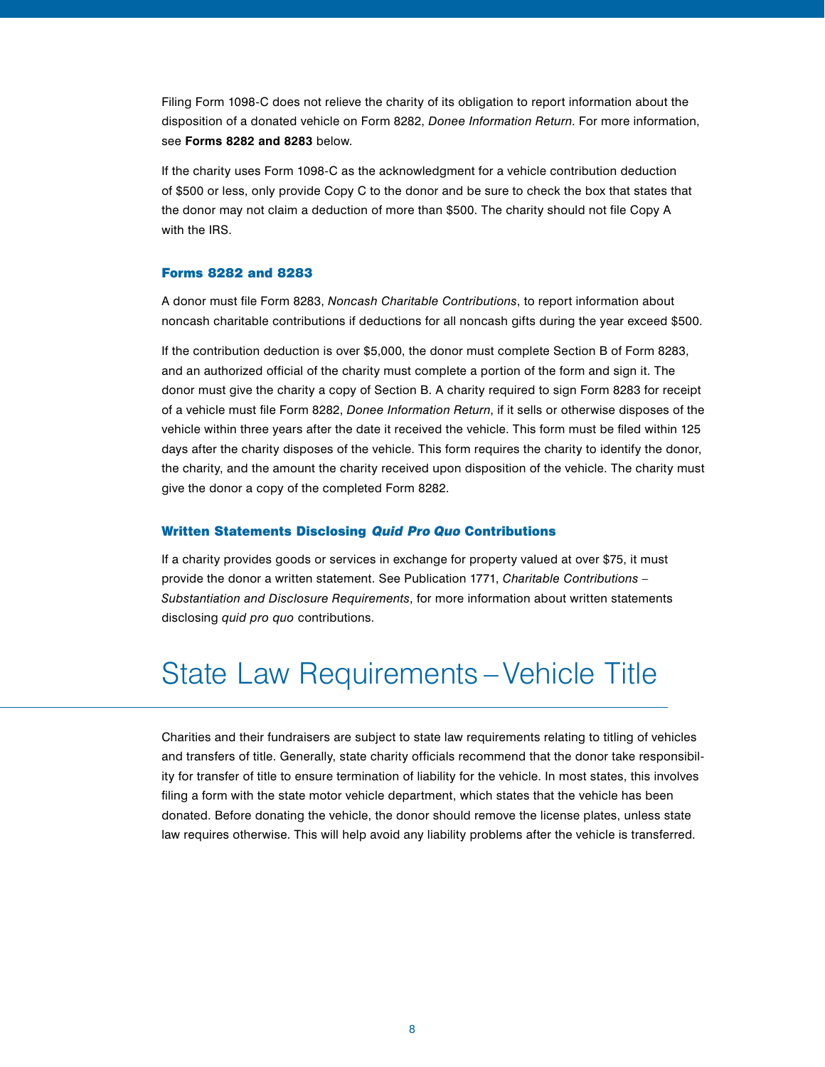Filing Form 1098-C does not relieve the charity of its obligation to report information about the disposition of a donated vehicle on Form 8282, *Donee Information Return*. For more information, see **Forms 8282 and 8283** below.

If the charity uses Form 1098-C as the acknowledgment for a vehicle contribution deduction of \$500 or less, only provide Copy C to the donor and be sure to check the box that states that the donor may not claim a deduction of more than \$500. The charity should not file Copy A with the IRS.

#### Forms 8282 and 8283,

A donor must file Form 8283, *[Noncash Charitable Contributions](http://www.irs.gov/pub/irs-pdf/f8283.pdf)*, to report information about noncash charitable contributions if deductions for all noncash gifts during the year exceed \$500.

If the contribution deduction is over \$5,000, the donor must complete Section B of Form 8283, and an authorized official of the charity must complete a portion of the form and sign it. The donor must give the charity a copy of Section B. A charity required to sign Form 8283 for receipt of a vehicle must file Form 8282, *[Donee Information Return](http://www.irs.gov/pub/irs-pdf/f8282.pdf)*, if it sells or otherwise disposes of the vehicle within three years after the date it received the vehicle. This form must be filed within 125 days after the charity disposes of the vehicle. This form requires the charity to identify the donor, the charity, and the amount the charity received upon disposition of the vehicle. The charity must give the donor a copy of the completed Form 8282.

#### **Written Statements Disclosing Quid Pro Quo Contributions**

If a charity provides goods or services in exchange for property valued at over \$75, it must provide the donor a written statement. See Publication 1771, *[Charitable Contributions –](http://www.irs.gov/pub/irs-pdf/p1771.pdf)  [Substantiation and Disclosure Requirements](http://www.irs.gov/pub/irs-pdf/p1771.pdf)*, for more information about written statements disclosing *quid pro quo* contributions.

## State Law Requirements – Vehicle Title,

Charities and their fundraisers are subject to state law requirements relating to titling of vehicles and transfers of title. Generally, state charity officials recommend that the donor take responsibility for transfer of title to ensure termination of liability for the vehicle. In most states, this involves filing a form with the state motor vehicle department, which states that the vehicle has been donated. Before donating the vehicle, the donor should remove the license plates, unless state law requires otherwise. This will help avoid any liability problems after the vehicle is transferred.